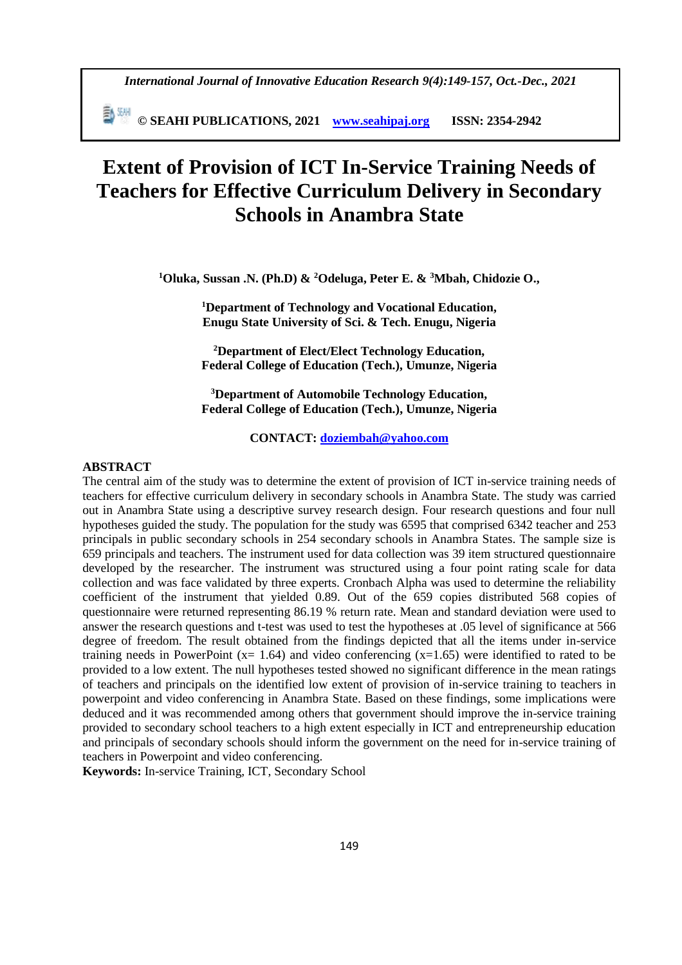**© SEAHI PUBLICATIONS, 2021 [www.seahipaj.org](http://www.seahipaj.org/) ISSN: 2354-2942**

# **Extent of Provision of ICT In-Service Training Needs of Teachers for Effective Curriculum Delivery in Secondary Schools in Anambra State**

**<sup>1</sup>Oluka, Sussan .N. (Ph.D) & <sup>2</sup>Odeluga, Peter E. & <sup>3</sup>Mbah, Chidozie O.,**

**<sup>1</sup>Department of Technology and Vocational Education, Enugu State University of Sci. & Tech. Enugu, Nigeria**

**<sup>2</sup>Department of Elect/Elect Technology Education, Federal College of Education (Tech.), Umunze, Nigeria**

**<sup>3</sup>Department of Automobile Technology Education, Federal College of Education (Tech.), Umunze, Nigeria**

**CONTACT: [doziembah@yahoo.com](mailto:doziembah@yahoo.com)**

## **ABSTRACT**

The central aim of the study was to determine the extent of provision of ICT in-service training needs of teachers for effective curriculum delivery in secondary schools in Anambra State. The study was carried out in Anambra State using a descriptive survey research design. Four research questions and four null hypotheses guided the study. The population for the study was 6595 that comprised 6342 teacher and 253 principals in public secondary schools in 254 secondary schools in Anambra States. The sample size is 659 principals and teachers. The instrument used for data collection was 39 item structured questionnaire developed by the researcher. The instrument was structured using a four point rating scale for data collection and was face validated by three experts. Cronbach Alpha was used to determine the reliability coefficient of the instrument that yielded 0.89. Out of the 659 copies distributed 568 copies of questionnaire were returned representing 86.19 % return rate. Mean and standard deviation were used to answer the research questions and t-test was used to test the hypotheses at .05 level of significance at 566 degree of freedom. The result obtained from the findings depicted that all the items under in-service training needs in PowerPoint ( $x= 1.64$ ) and video conferencing ( $x=1.65$ ) were identified to rated to be provided to a low extent. The null hypotheses tested showed no significant difference in the mean ratings of teachers and principals on the identified low extent of provision of in-service training to teachers in powerpoint and video conferencing in Anambra State. Based on these findings, some implications were deduced and it was recommended among others that government should improve the in-service training provided to secondary school teachers to a high extent especially in ICT and entrepreneurship education and principals of secondary schools should inform the government on the need for in-service training of teachers in Powerpoint and video conferencing.

**Keywords:** In-service Training, ICT, Secondary School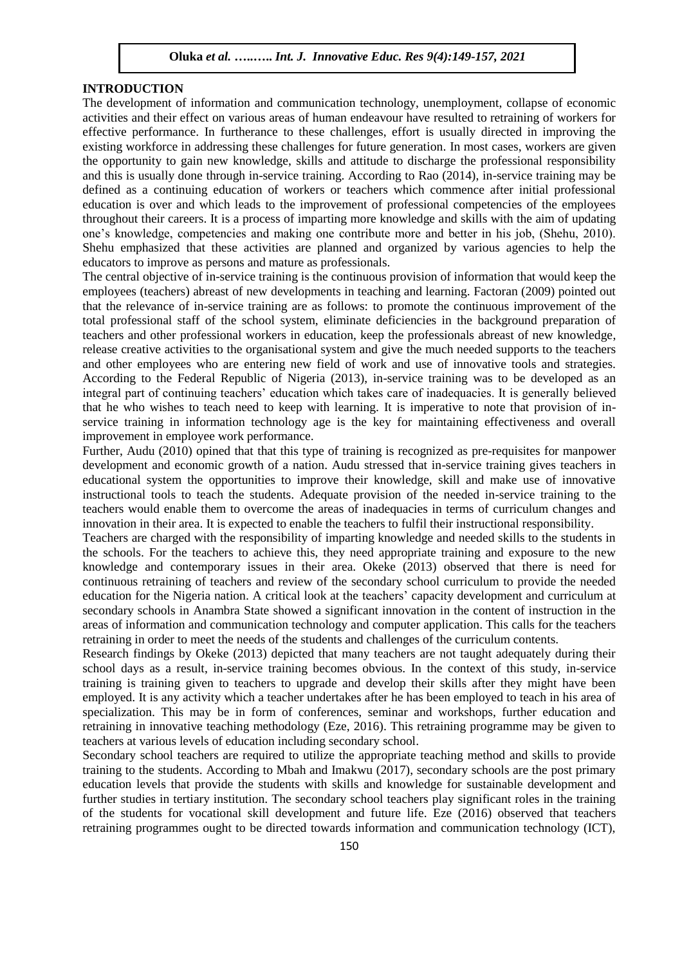# **INTRODUCTION**

The development of information and communication technology, unemployment, collapse of economic activities and their effect on various areas of human endeavour have resulted to retraining of workers for effective performance. In furtherance to these challenges, effort is usually directed in improving the existing workforce in addressing these challenges for future generation. In most cases, workers are given the opportunity to gain new knowledge, skills and attitude to discharge the professional responsibility and this is usually done through in-service training. According to Rao (2014), in-service training may be defined as a continuing education of workers or teachers which commence after initial professional education is over and which leads to the improvement of professional competencies of the employees throughout their careers. It is a process of imparting more knowledge and skills with the aim of updating one's knowledge, competencies and making one contribute more and better in his job, (Shehu, 2010). Shehu emphasized that these activities are planned and organized by various agencies to help the educators to improve as persons and mature as professionals.

The central objective of in-service training is the continuous provision of information that would keep the employees (teachers) abreast of new developments in teaching and learning. Factoran (2009) pointed out that the relevance of in-service training are as follows: to promote the continuous improvement of the total professional staff of the school system, eliminate deficiencies in the background preparation of teachers and other professional workers in education, keep the professionals abreast of new knowledge, release creative activities to the organisational system and give the much needed supports to the teachers and other employees who are entering new field of work and use of innovative tools and strategies. According to the Federal Republic of Nigeria (2013), in-service training was to be developed as an integral part of continuing teachers' education which takes care of inadequacies. It is generally believed that he who wishes to teach need to keep with learning. It is imperative to note that provision of inservice training in information technology age is the key for maintaining effectiveness and overall improvement in employee work performance.

Further, Audu (2010) opined that that this type of training is recognized as pre-requisites for manpower development and economic growth of a nation. Audu stressed that in-service training gives teachers in educational system the opportunities to improve their knowledge, skill and make use of innovative instructional tools to teach the students. Adequate provision of the needed in-service training to the teachers would enable them to overcome the areas of inadequacies in terms of curriculum changes and innovation in their area. It is expected to enable the teachers to fulfil their instructional responsibility.

Teachers are charged with the responsibility of imparting knowledge and needed skills to the students in the schools. For the teachers to achieve this, they need appropriate training and exposure to the new knowledge and contemporary issues in their area. Okeke (2013) observed that there is need for continuous retraining of teachers and review of the secondary school curriculum to provide the needed education for the Nigeria nation. A critical look at the teachers' capacity development and curriculum at secondary schools in Anambra State showed a significant innovation in the content of instruction in the areas of information and communication technology and computer application. This calls for the teachers retraining in order to meet the needs of the students and challenges of the curriculum contents.

Research findings by Okeke (2013) depicted that many teachers are not taught adequately during their school days as a result, in-service training becomes obvious. In the context of this study, in-service training is training given to teachers to upgrade and develop their skills after they might have been employed. It is any activity which a teacher undertakes after he has been employed to teach in his area of specialization. This may be in form of conferences, seminar and workshops, further education and retraining in innovative teaching methodology (Eze, 2016). This retraining programme may be given to teachers at various levels of education including secondary school.

Secondary school teachers are required to utilize the appropriate teaching method and skills to provide training to the students. According to Mbah and Imakwu (2017), secondary schools are the post primary education levels that provide the students with skills and knowledge for sustainable development and further studies in tertiary institution. The secondary school teachers play significant roles in the training of the students for vocational skill development and future life. Eze (2016) observed that teachers retraining programmes ought to be directed towards information and communication technology (ICT),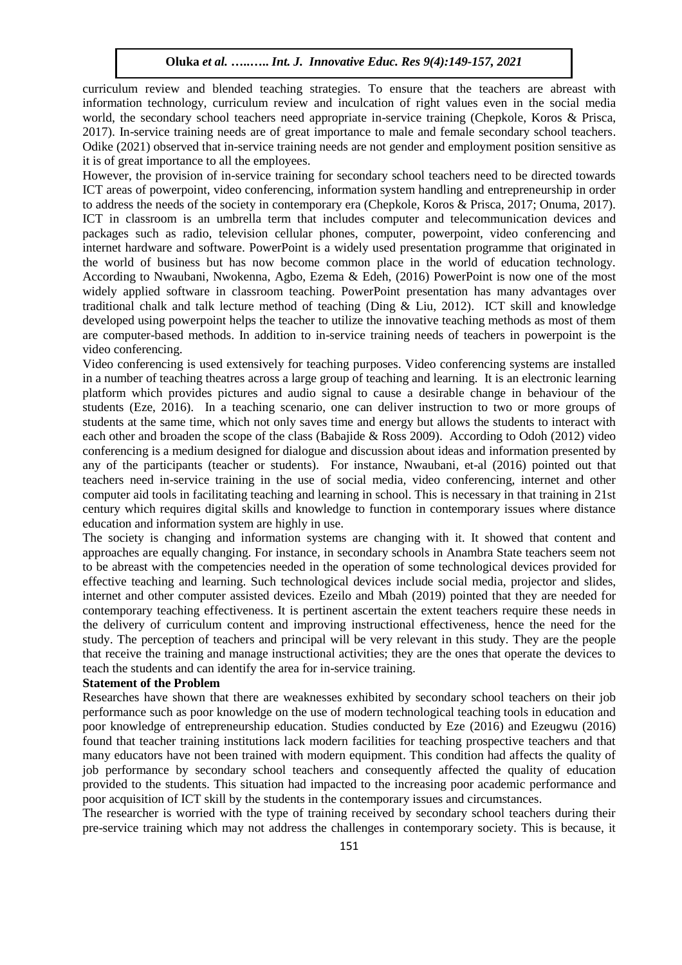curriculum review and blended teaching strategies. To ensure that the teachers are abreast with information technology, curriculum review and inculcation of right values even in the social media world, the secondary school teachers need appropriate in-service training (Chepkole, Koros & Prisca, 2017). In-service training needs are of great importance to male and female secondary school teachers. Odike (2021) observed that in-service training needs are not gender and employment position sensitive as it is of great importance to all the employees.

However, the provision of in-service training for secondary school teachers need to be directed towards ICT areas of powerpoint, video conferencing, information system handling and entrepreneurship in order to address the needs of the society in contemporary era (Chepkole, Koros & Prisca, 2017; Onuma, 2017). ICT in classroom is an umbrella term that includes computer and telecommunication devices and packages such as radio, television cellular phones, computer, powerpoint, video conferencing and internet hardware and software. PowerPoint is a widely used presentation programme that originated in the world of business but has now become common place in the world of education technology. According to Nwaubani, Nwokenna, Agbo, Ezema & Edeh, (2016) PowerPoint is now one of the most widely applied software in classroom teaching. PowerPoint presentation has many advantages over traditional chalk and talk lecture method of teaching (Ding & Liu, 2012). ICT skill and knowledge developed using powerpoint helps the teacher to utilize the innovative teaching methods as most of them are computer-based methods. In addition to in-service training needs of teachers in powerpoint is the video conferencing.

Video conferencing is used extensively for teaching purposes. Video conferencing systems are installed in a number of teaching theatres across a large group of teaching and learning. It is an electronic learning platform which provides pictures and audio signal to cause a desirable change in behaviour of the students (Eze, 2016). In a teaching scenario, one can deliver instruction to two or more groups of students at the same time, which not only saves time and energy but allows the students to interact with each other and broaden the scope of the class (Babajide & Ross 2009). According to Odoh (2012) video conferencing is a medium designed for dialogue and discussion about ideas and information presented by any of the participants (teacher or students). For instance, Nwaubani, et-al (2016) pointed out that teachers need in-service training in the use of social media, video conferencing, internet and other computer aid tools in facilitating teaching and learning in school. This is necessary in that training in 21st century which requires digital skills and knowledge to function in contemporary issues where distance education and information system are highly in use.

The society is changing and information systems are changing with it. It showed that content and approaches are equally changing. For instance, in secondary schools in Anambra State teachers seem not to be abreast with the competencies needed in the operation of some technological devices provided for effective teaching and learning. Such technological devices include social media, projector and slides, internet and other computer assisted devices. Ezeilo and Mbah (2019) pointed that they are needed for contemporary teaching effectiveness. It is pertinent ascertain the extent teachers require these needs in the delivery of curriculum content and improving instructional effectiveness, hence the need for the study. The perception of teachers and principal will be very relevant in this study. They are the people that receive the training and manage instructional activities; they are the ones that operate the devices to teach the students and can identify the area for in-service training.

# **Statement of the Problem**

Researches have shown that there are weaknesses exhibited by secondary school teachers on their job performance such as poor knowledge on the use of modern technological teaching tools in education and poor knowledge of entrepreneurship education. Studies conducted by Eze (2016) and Ezeugwu (2016) found that teacher training institutions lack modern facilities for teaching prospective teachers and that many educators have not been trained with modern equipment. This condition had affects the quality of job performance by secondary school teachers and consequently affected the quality of education provided to the students. This situation had impacted to the increasing poor academic performance and poor acquisition of ICT skill by the students in the contemporary issues and circumstances.

The researcher is worried with the type of training received by secondary school teachers during their pre-service training which may not address the challenges in contemporary society. This is because, it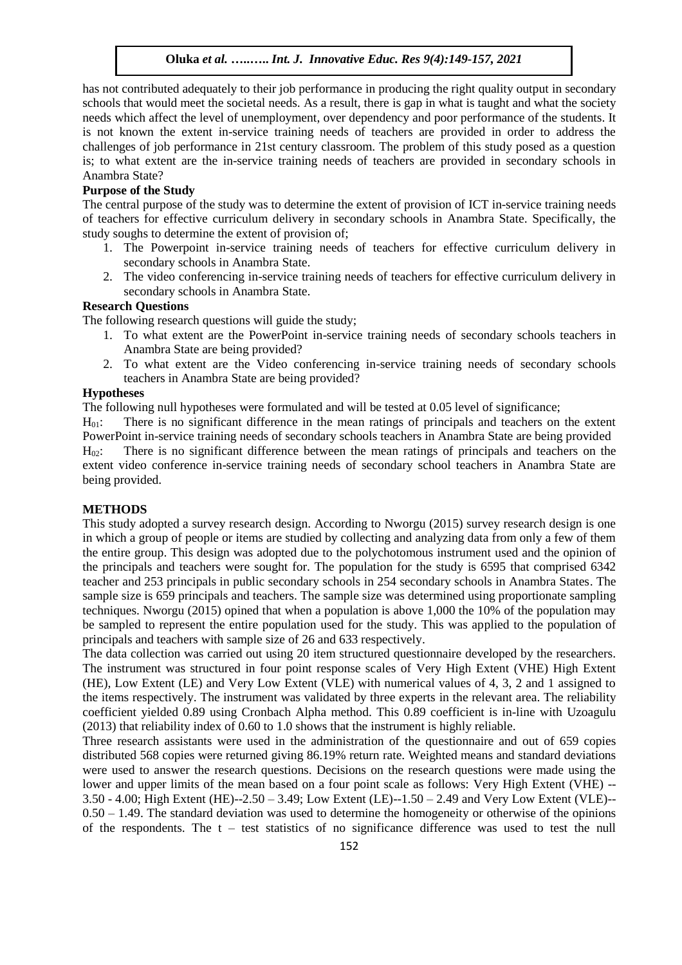has not contributed adequately to their job performance in producing the right quality output in secondary schools that would meet the societal needs. As a result, there is gap in what is taught and what the society needs which affect the level of unemployment, over dependency and poor performance of the students. It is not known the extent in-service training needs of teachers are provided in order to address the challenges of job performance in 21st century classroom. The problem of this study posed as a question is; to what extent are the in-service training needs of teachers are provided in secondary schools in Anambra State?

#### **Purpose of the Study**

The central purpose of the study was to determine the extent of provision of ICT in-service training needs of teachers for effective curriculum delivery in secondary schools in Anambra State. Specifically, the study soughs to determine the extent of provision of;

- 1. The Powerpoint in-service training needs of teachers for effective curriculum delivery in secondary schools in Anambra State.
- 2. The video conferencing in-service training needs of teachers for effective curriculum delivery in secondary schools in Anambra State.

#### **Research Questions**

The following research questions will guide the study;

- 1. To what extent are the PowerPoint in-service training needs of secondary schools teachers in Anambra State are being provided?
- 2. To what extent are the Video conferencing in-service training needs of secondary schools teachers in Anambra State are being provided?

# **Hypotheses**

The following null hypotheses were formulated and will be tested at 0.05 level of significance;

H01: There is no significant difference in the mean ratings of principals and teachers on the extent PowerPoint in-service training needs of secondary schools teachers in Anambra State are being provided

H02: There is no significant difference between the mean ratings of principals and teachers on the extent video conference in-service training needs of secondary school teachers in Anambra State are being provided.

# **METHODS**

This study adopted a survey research design. According to Nworgu (2015) survey research design is one in which a group of people or items are studied by collecting and analyzing data from only a few of them the entire group. This design was adopted due to the polychotomous instrument used and the opinion of the principals and teachers were sought for. The population for the study is 6595 that comprised 6342 teacher and 253 principals in public secondary schools in 254 secondary schools in Anambra States. The sample size is 659 principals and teachers. The sample size was determined using proportionate sampling techniques. Nworgu (2015) opined that when a population is above 1,000 the 10% of the population may be sampled to represent the entire population used for the study. This was applied to the population of principals and teachers with sample size of 26 and 633 respectively.

The data collection was carried out using 20 item structured questionnaire developed by the researchers. The instrument was structured in four point response scales of Very High Extent (VHE) High Extent (HE), Low Extent (LE) and Very Low Extent (VLE) with numerical values of 4, 3, 2 and 1 assigned to the items respectively. The instrument was validated by three experts in the relevant area. The reliability coefficient yielded 0.89 using Cronbach Alpha method. This 0.89 coefficient is in-line with Uzoagulu (2013) that reliability index of 0.60 to 1.0 shows that the instrument is highly reliable.

Three research assistants were used in the administration of the questionnaire and out of 659 copies distributed 568 copies were returned giving 86.19% return rate. Weighted means and standard deviations were used to answer the research questions. Decisions on the research questions were made using the lower and upper limits of the mean based on a four point scale as follows: Very High Extent (VHE) -- 3.50 - 4.00; High Extent (HE)--2.50 – 3.49; Low Extent (LE)--1.50 – 2.49 and Very Low Extent (VLE)--  $0.50 - 1.49$ . The standard deviation was used to determine the homogeneity or otherwise of the opinions of the respondents. The  $t - \text{test statistics of no significance difference was used to test the null}$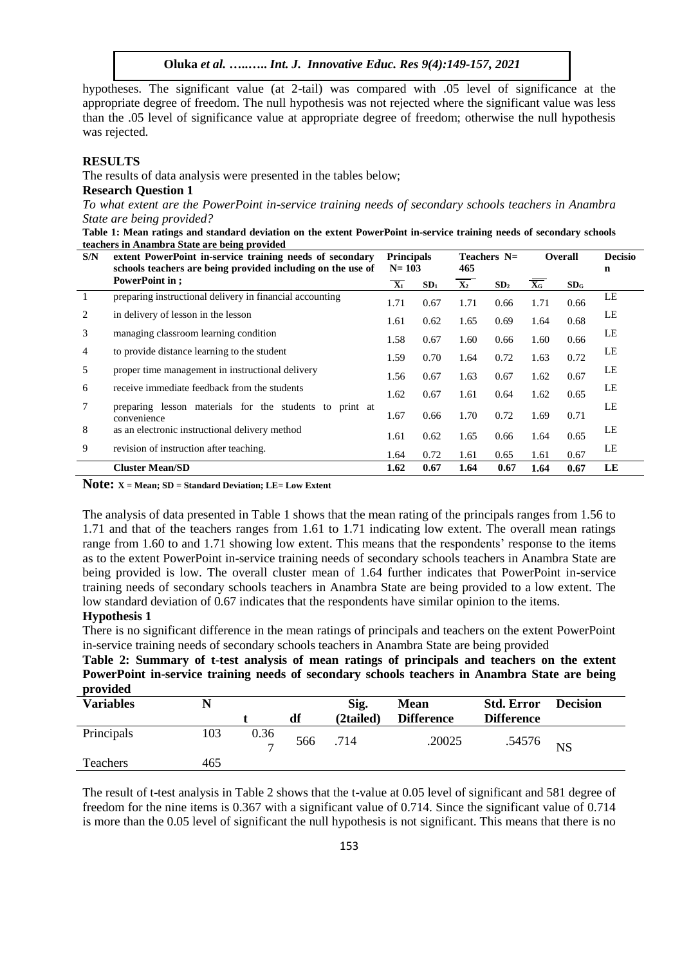hypotheses. The significant value (at 2-tail) was compared with .05 level of significance at the appropriate degree of freedom. The null hypothesis was not rejected where the significant value was less than the .05 level of significance value at appropriate degree of freedom; otherwise the null hypothesis was rejected.

#### **RESULTS**

The results of data analysis were presented in the tables below;

# **Research Question 1**

*To what extent are the PowerPoint in-service training needs of secondary schools teachers in Anambra State are being provided?*

**Table 1: Mean ratings and standard deviation on the extent PowerPoint in-service training needs of secondary schools teachers in Anambra State are being provided**

| S/N | extent PowerPoint in-service training needs of secondary<br>schools teachers are being provided including on the use of | <b>Principals</b><br>$N = 103$ |                 | Teachers $N=$<br>465 |                 | <b>Overall</b>   |                 | <b>Decisio</b><br>n |
|-----|-------------------------------------------------------------------------------------------------------------------------|--------------------------------|-----------------|----------------------|-----------------|------------------|-----------------|---------------------|
|     | PowerPoint in:                                                                                                          | $\overline{X_1}$               | SD <sub>1</sub> | $\mathbf{X}_2$       | SD <sub>2</sub> | $\overline{X_G}$ | SD <sub>G</sub> |                     |
|     | preparing instructional delivery in financial accounting                                                                | 1.71                           | 0.67            | 1.71                 | 0.66            | 1.71             | 0.66            | LE                  |
| 2   | in delivery of lesson in the lesson                                                                                     | 1.61                           | 0.62            | 1.65                 | 0.69            | 1.64             | 0.68            | LE                  |
| 3   | managing classroom learning condition                                                                                   | 1.58                           | 0.67            | 1.60                 | 0.66            | 1.60             | 0.66            | LE                  |
| 4   | to provide distance learning to the student                                                                             | 1.59                           | 0.70            | 1.64                 | 0.72            | 1.63             | 0.72            | LE                  |
| 5   | proper time management in instructional delivery                                                                        | 1.56                           | 0.67            | 1.63                 | 0.67            | 1.62             | 0.67            | LE                  |
| 6   | receive immediate feedback from the students                                                                            |                                |                 |                      |                 | 1.62             | 0.65            | LE                  |
| 7   | preparing lesson materials for the students to                                                                          | 1.62                           | 0.67            | 1.61                 | 0.64            |                  |                 | LE                  |
|     | print at<br>convenience                                                                                                 | 1.67                           | 0.66            | 1.70                 | 0.72            | 1.69             | 0.71            |                     |
| 8   | as an electronic instructional delivery method                                                                          | 1.61                           | 0.62            | 1.65                 | 0.66            | 1.64             | 0.65            | LE                  |
| 9   | revision of instruction after teaching.                                                                                 | 1.64                           | 0.72            | 1.61                 | 0.65            | 1.61             | 0.67            | LE                  |
|     | <b>Cluster Mean/SD</b>                                                                                                  | 1.62                           | 0.67            | 1.64                 | 0.67            | 1.64             | 0.67            | LE                  |

**Note: X = Mean; SD = Standard Deviation; LE= Low Extent** 

The analysis of data presented in Table 1 shows that the mean rating of the principals ranges from 1.56 to 1.71 and that of the teachers ranges from 1.61 to 1.71 indicating low extent. The overall mean ratings range from 1.60 to and 1.71 showing low extent. This means that the respondents' response to the items as to the extent PowerPoint in-service training needs of secondary schools teachers in Anambra State are being provided is low. The overall cluster mean of 1.64 further indicates that PowerPoint in-service training needs of secondary schools teachers in Anambra State are being provided to a low extent. The low standard deviation of 0.67 indicates that the respondents have similar opinion to the items.

#### **Hypothesis 1**

There is no significant difference in the mean ratings of principals and teachers on the extent PowerPoint in-service training needs of secondary schools teachers in Anambra State are being provided

**Table 2: Summary of t-test analysis of mean ratings of principals and teachers on the extent PowerPoint in-service training needs of secondary schools teachers in Anambra State are being provided**

| <b>Variables</b> |     |                        | df  | Sig.<br>(2tailed) | <b>Mean</b><br><b>Difference</b> | <b>Std. Error</b><br><b>Difference</b> | <b>Decision</b> |
|------------------|-----|------------------------|-----|-------------------|----------------------------------|----------------------------------------|-----------------|
| Principals       | 103 | 0.36<br>$\overline{ }$ | 566 | .714              | .20025                           | .54576                                 | <b>NS</b>       |
| Teachers         | 465 |                        |     |                   |                                  |                                        |                 |

The result of t-test analysis in Table 2 shows that the t-value at 0.05 level of significant and 581 degree of freedom for the nine items is 0.367 with a significant value of 0.714. Since the significant value of 0.714 is more than the 0.05 level of significant the null hypothesis is not significant. This means that there is no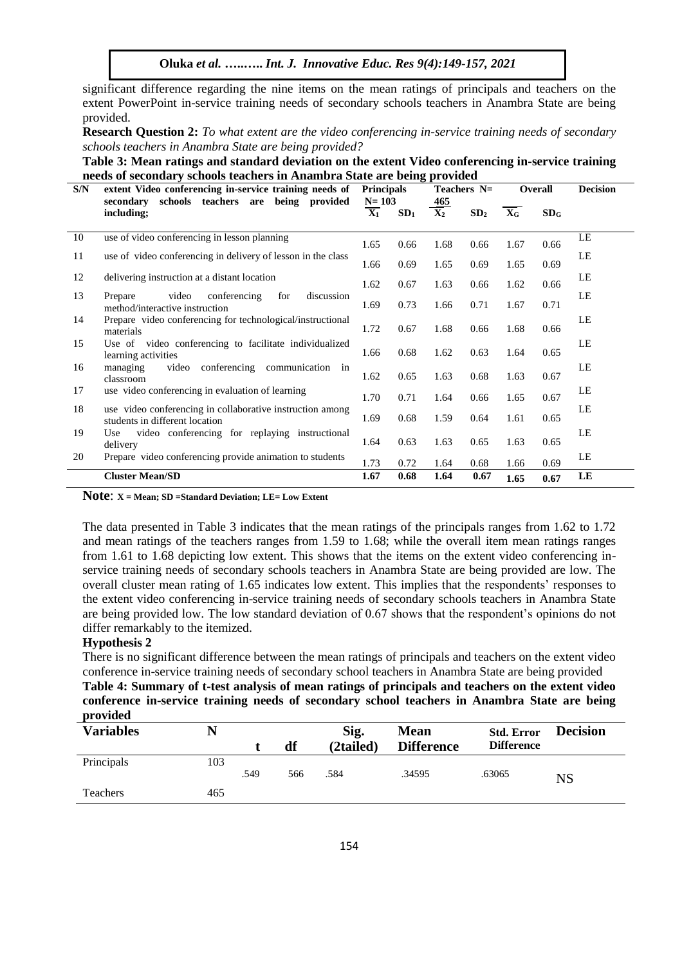**Oluka** *et al.* **…..…..** *Int. J. Innovative Educ. Res 9(4):149-157, 2021*

significant difference regarding the nine items on the mean ratings of principals and teachers on the extent PowerPoint in-service training needs of secondary schools teachers in Anambra State are being provided.

**Research Question 2:** *To what extent are the video conferencing in-service training needs of secondary schools teachers in Anambra State are being provided?*

**Table 3: Mean ratings and standard deviation on the extent Video conferencing in-service training needs of secondary schools teachers in Anambra State are being provided**

| S/N | extent Video conferencing in-service training needs of                                      | <b>Principals</b><br>$N = 103$ |                 | Teachers $N=$ |                 | Overall                   |                 | <b>Decision</b> |
|-----|---------------------------------------------------------------------------------------------|--------------------------------|-----------------|---------------|-----------------|---------------------------|-----------------|-----------------|
|     | schools teachers are<br>being provided<br>secondary<br>including;                           | $\overline{\mathbf{X_1}}$      | SD <sub>1</sub> | 465<br>$X_2$  | SD <sub>2</sub> | $\mathbf{X}_{\mathbf{G}}$ | SD <sub>G</sub> |                 |
| 10  | use of video conferencing in lesson planning                                                | 1.65                           | 0.66            | 1.68          | 0.66            | 1.67                      | 0.66            | LE              |
| 11  | use of video conferencing in delivery of lesson in the class                                | 1.66                           | 0.69            | 1.65          | 0.69            | 1.65                      | 0.69            | LE              |
| 12  | delivering instruction at a distant location                                                | 1.62                           | 0.67            | 1.63          | 0.66            | 1.62                      | 0.66            | LE              |
| 13  | video<br>conferencing<br>for<br>discussion<br>Prepare<br>method/interactive instruction     | 1.69                           | 0.73            | 1.66          | 0.71            | 1.67                      | 0.71            | LE              |
| 14  | Prepare video conferencing for technological/instructional<br>materials                     | 1.72                           | 0.67            | 1.68          | 0.66            | 1.68                      | 0.66            | LE              |
| 15  | Use of video conferencing to facilitate individualized<br>learning activities               | 1.66                           | 0.68            | 1.62          | 0.63            | 1.64                      | 0.65            | LE              |
| 16  | video<br>conferencing<br>communication in<br>managing<br>classroom                          | 1.62                           | 0.65            | 1.63          | 0.68            | 1.63                      | 0.67            | LE              |
| 17  | use video conferencing in evaluation of learning                                            | 1.70                           | 0.71            | 1.64          | 0.66            | 1.65                      | 0.67            | LE              |
| 18  | use video conferencing in collaborative instruction among<br>students in different location | 1.69                           | 0.68            | 1.59          | 0.64            | 1.61                      | 0.65            | LE              |
| 19  | video conferencing for replaying instructional<br>Use<br>delivery                           | 1.64                           | 0.63            | 1.63          | 0.65            | 1.63                      | 0.65            | LE              |
| 20  | Prepare video conferencing provide animation to students                                    | 1.73                           | 0.72            | 1.64          | 0.68            | 1.66                      | 0.69            | LE              |
|     | <b>Cluster Mean/SD</b>                                                                      | 1.67                           | 0.68            | 1.64          | 0.67            | 1.65                      | 0.67            | LE              |

**Note**: **X = Mean; SD =Standard Deviation; LE= Low Extent** 

The data presented in Table 3 indicates that the mean ratings of the principals ranges from 1.62 to 1.72 and mean ratings of the teachers ranges from 1.59 to 1.68; while the overall item mean ratings ranges from 1.61 to 1.68 depicting low extent. This shows that the items on the extent video conferencing inservice training needs of secondary schools teachers in Anambra State are being provided are low. The overall cluster mean rating of 1.65 indicates low extent. This implies that the respondents' responses to the extent video conferencing in-service training needs of secondary schools teachers in Anambra State are being provided low. The low standard deviation of 0.67 shows that the respondent's opinions do not differ remarkably to the itemized.

## **Hypothesis 2**

There is no significant difference between the mean ratings of principals and teachers on the extent video conference in-service training needs of secondary school teachers in Anambra State are being provided **Table 4: Summary of t-test analysis of mean ratings of principals and teachers on the extent video conference in-service training needs of secondary school teachers in Anambra State are being provided**

| <b>Variables</b> | N   |      |     | Sig.      | <b>Mean</b>       | <b>Std. Error</b> | <b>Decision</b> |
|------------------|-----|------|-----|-----------|-------------------|-------------------|-----------------|
|                  |     |      | df  | (2tailed) | <b>Difference</b> | <b>Difference</b> |                 |
| Principals       | 103 |      |     |           |                   |                   |                 |
|                  |     | .549 | 566 | .584      | .34595            | .63065            | NS              |
| Teachers         | 465 |      |     |           |                   |                   |                 |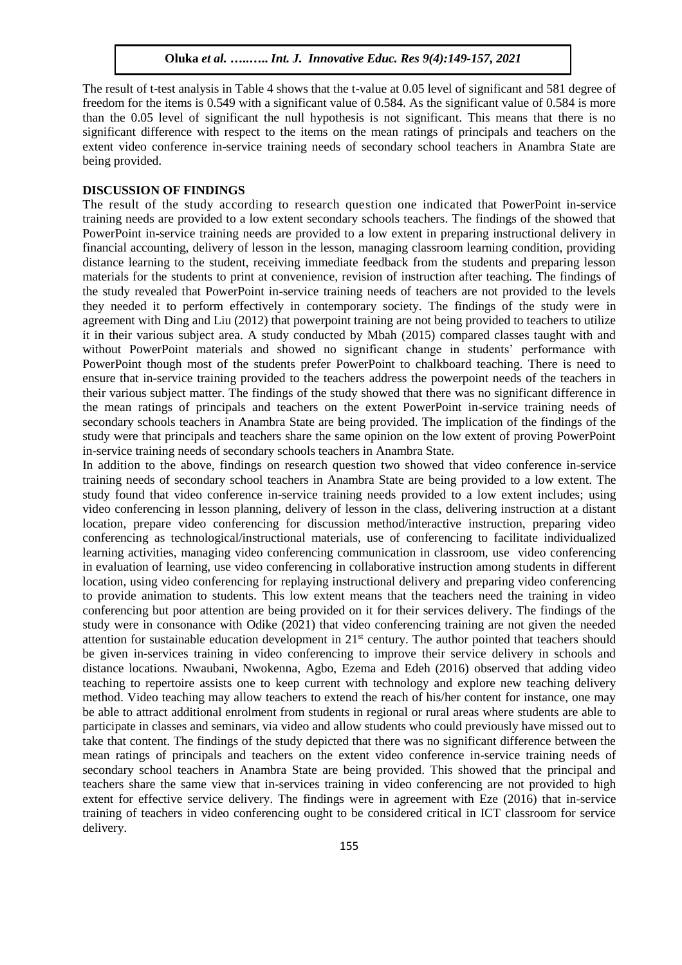The result of t-test analysis in Table 4 shows that the t-value at 0.05 level of significant and 581 degree of freedom for the items is 0.549 with a significant value of 0.584. As the significant value of 0.584 is more than the 0.05 level of significant the null hypothesis is not significant. This means that there is no significant difference with respect to the items on the mean ratings of principals and teachers on the extent video conference in-service training needs of secondary school teachers in Anambra State are being provided.

#### **DISCUSSION OF FINDINGS**

The result of the study according to research question one indicated that PowerPoint in-service training needs are provided to a low extent secondary schools teachers. The findings of the showed that PowerPoint in-service training needs are provided to a low extent in preparing instructional delivery in financial accounting, delivery of lesson in the lesson, managing classroom learning condition, providing distance learning to the student, receiving immediate feedback from the students and preparing lesson materials for the students to print at convenience, revision of instruction after teaching. The findings of the study revealed that PowerPoint in-service training needs of teachers are not provided to the levels they needed it to perform effectively in contemporary society. The findings of the study were in agreement with Ding and Liu (2012) that powerpoint training are not being provided to teachers to utilize it in their various subject area. A study conducted by Mbah (2015) compared classes taught with and without PowerPoint materials and showed no significant change in students' performance with PowerPoint though most of the students prefer PowerPoint to chalkboard teaching. There is need to ensure that in-service training provided to the teachers address the powerpoint needs of the teachers in their various subject matter. The findings of the study showed that there was no significant difference in the mean ratings of principals and teachers on the extent PowerPoint in-service training needs of secondary schools teachers in Anambra State are being provided. The implication of the findings of the study were that principals and teachers share the same opinion on the low extent of proving PowerPoint in-service training needs of secondary schools teachers in Anambra State.

In addition to the above, findings on research question two showed that video conference in-service training needs of secondary school teachers in Anambra State are being provided to a low extent. The study found that video conference in-service training needs provided to a low extent includes; using video conferencing in lesson planning, delivery of lesson in the class, delivering instruction at a distant location, prepare video conferencing for discussion method/interactive instruction, preparing video conferencing as technological/instructional materials, use of conferencing to facilitate individualized learning activities, managing video conferencing communication in classroom, use video conferencing in evaluation of learning, use video conferencing in collaborative instruction among students in different location, using video conferencing for replaying instructional delivery and preparing video conferencing to provide animation to students. This low extent means that the teachers need the training in video conferencing but poor attention are being provided on it for their services delivery. The findings of the study were in consonance with Odike (2021) that video conferencing training are not given the needed attention for sustainable education development in 21st century. The author pointed that teachers should be given in-services training in video conferencing to improve their service delivery in schools and distance locations. Nwaubani, Nwokenna, Agbo, Ezema and Edeh (2016) observed that adding video teaching to repertoire assists one to keep current with technology and explore new teaching delivery method. Video teaching may allow teachers to extend the reach of his/her content for instance, one may be able to attract additional enrolment from students in regional or rural areas where students are able to participate in classes and seminars, via video and allow students who could previously have missed out to take that content. The findings of the study depicted that there was no significant difference between the mean ratings of principals and teachers on the extent video conference in-service training needs of secondary school teachers in Anambra State are being provided. This showed that the principal and teachers share the same view that in-services training in video conferencing are not provided to high extent for effective service delivery. The findings were in agreement with Eze (2016) that in-service training of teachers in video conferencing ought to be considered critical in ICT classroom for service delivery.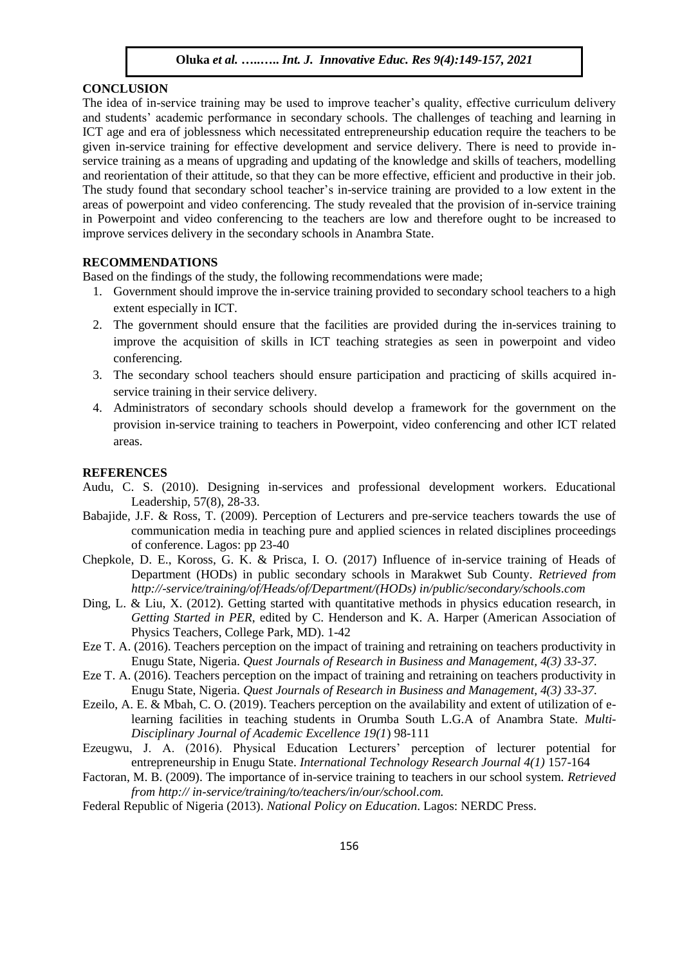# **CONCLUSION**

The idea of in-service training may be used to improve teacher's quality, effective curriculum delivery and students' academic performance in secondary schools. The challenges of teaching and learning in ICT age and era of joblessness which necessitated entrepreneurship education require the teachers to be given in-service training for effective development and service delivery. There is need to provide inservice training as a means of upgrading and updating of the knowledge and skills of teachers, modelling and reorientation of their attitude, so that they can be more effective, efficient and productive in their job. The study found that secondary school teacher's in-service training are provided to a low extent in the areas of powerpoint and video conferencing. The study revealed that the provision of in-service training in Powerpoint and video conferencing to the teachers are low and therefore ought to be increased to improve services delivery in the secondary schools in Anambra State.

# **RECOMMENDATIONS**

Based on the findings of the study, the following recommendations were made;

- 1. Government should improve the in-service training provided to secondary school teachers to a high extent especially in ICT.
- 2. The government should ensure that the facilities are provided during the in-services training to improve the acquisition of skills in ICT teaching strategies as seen in powerpoint and video conferencing.
- 3. The secondary school teachers should ensure participation and practicing of skills acquired inservice training in their service delivery.
- 4. Administrators of secondary schools should develop a framework for the government on the provision in-service training to teachers in Powerpoint, video conferencing and other ICT related areas.

#### **REFERENCES**

- Audu, C. S. (2010). Designing in-services and professional development workers. Educational Leadership, 57(8), 28-33.
- Babajide, J.F. & Ross, T. (2009). Perception of Lecturers and pre-service teachers towards the use of communication media in teaching pure and applied sciences in related disciplines proceedings of conference. Lagos: pp 23-40
- Chepkole, D. E., Koross, G. K. & Prisca, I. O. (2017) Influence of in-service training of Heads of Department (HODs) in public secondary schools in Marakwet Sub County. *Retrieved from http://*-*service/training/of/Heads/of/Department/(HODs) in/public/secondary/schools.com*
- Ding, L. & Liu, X. (2012). Getting started with quantitative methods in physics education research, in *Getting Started in PER*, edited by C. Henderson and K. A. Harper (American Association of Physics Teachers, College Park, MD). 1-42
- Eze T. A. (2016). Teachers perception on the impact of training and retraining on teachers productivity in Enugu State, Nigeria. *Quest Journals of Research in Business and Management, 4(3) 33-37.*
- Eze T. A. (2016). Teachers perception on the impact of training and retraining on teachers productivity in Enugu State, Nigeria. *Quest Journals of Research in Business and Management, 4(3) 33-37.*
- Ezeilo, A. E. & Mbah, C. O. (2019). Teachers perception on the availability and extent of utilization of elearning facilities in teaching students in Orumba South L.G.A of Anambra State. *Multi-Disciplinary Journal of Academic Excellence 19(1*) 98-111
- Ezeugwu, J. A. (2016). Physical Education Lecturers' perception of lecturer potential for entrepreneurship in Enugu State. *International Technology Research Journal 4(1)* 157-164
- Factoran, M. B. (2009). The importance of in-service training to teachers in our school system. *Retrieved from http:// in-service/training/to/teachers/in/our/school.com.*
- Federal Republic of Nigeria (2013). *National Policy on Education*. Lagos: NERDC Press.